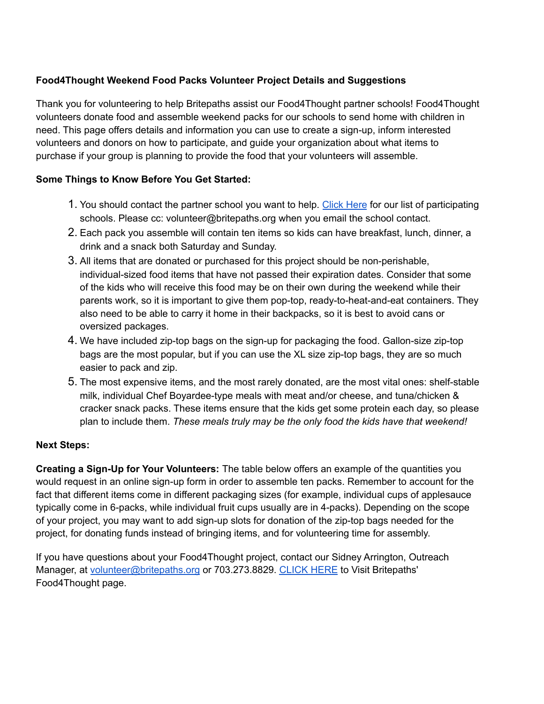## **Food4Thought Weekend Food Packs Volunteer Project Details and Suggestions**

Thank you for volunteering to help Britepaths assist ou[r](https://www.odbfairfax.org/Food-for-Thought) Food4Thought partner schools! Food4Thought volunteers donate food and assemble weekend packs for our schools to send home with children in need. This page offers details and information you can use to create a sign-up, inform interested volunteers and donors on how to participate, and guide your organization about what items to purchase if your group is planning to provide the food that your volunteers will assemble.

## **Some Things to Know Before You Get Started:**

- 1. You should contact the partner school you want to help. [Click](https://britepaths.org/our-services/food4thought/help-our-partner-schools) Here for our list of participating schools. Please cc: volunteer@britepaths.org when you email the school contact.
- 2. Each pack you assemble will contain ten items so kids can have breakfast, lunch, dinner, a drink and a snack both Saturday and Sunday.
- 3. All items that are donated or purchased for this project should be non-perishable, individual-sized food items that have not passed their expiration dates. Consider that some of the kids who will receive this food may be on their own during the weekend while their parents work, so it is important to give them pop-top, ready-to-heat-and-eat containers. They also need to be able to carry it home in their backpacks, so it is best to avoid cans or oversized packages.
- 4. We have included zip-top bags on the sign-up for packaging the food. Gallon-size zip-top bags are the most popular, but if you can use the XL size zip-top bags, they are so much easier to pack and zip.
- 5. The most expensive items, and the most rarely donated, are the most vital ones: shelf-stable milk, individual Chef Boyardee-type meals with meat and/or cheese, and tuna/chicken & cracker snack packs. These items ensure that the kids get some protein each day, so please plan to include them. *These meals truly may be the only food the kids have that weekend!*

## **Next Steps:**

**Creating a Sign-Up for Your Volunteers:** The table below offers an example of the quantities you would request in an online sign-up form in order to assemble ten packs. Remember to account for the fact that different items come in different packaging sizes (for example, individual cups of applesauce typically come in 6-packs, while individual fruit cups usually are in 4-packs). Depending on the scope of your project, you may want to add sign-up slots for donation of the zip-top bags needed for the project, for donating funds instead of bringing items, and for volunteering time for assembly.

If you have questions about your Food4Thought project, contact our Sidney Arrington, Outreach Manager, at [volunteer@britepaths.org](mailto:volunteer@britepaths.org) or 703.273.8829. [CLICK](https://britepaths.org/our-services/food4thought) HERE to Visit Britepaths' Food4Thought page.